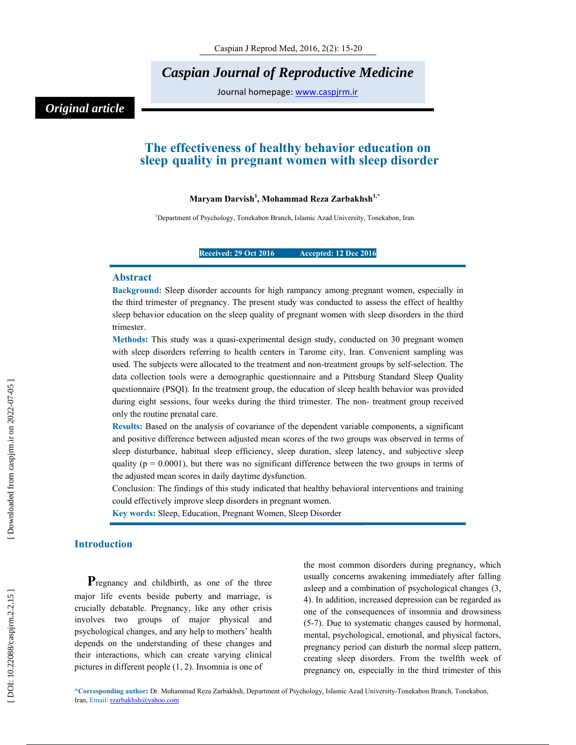*Caspian Journal of Reproductive Medicine* 

Journal homepage: www.caspjrm.ir

## *Original article*

### **The effectiveness of healthy behavior education on sleep quality in pregnant women with sleep disorder**

### **Maryam Darvish 1 , Mohammad Reza Zarbakhsh1,\***

<sup>1</sup>Department of Psychology, Tonekabon Branch, Islamic Azad University, Tonekabon, Iran

### **Received: 29 Oct 2016 Accepted: 12 Dec 2016**

### **Abstract**

**Background:** Sleep disorder accounts for high rampancy among pregnant women, especially in the third trimester of pregnancy. The present study was conducted to assess the effect of healthy sleep behavior education on the sleep quality of pregnant women with sleep disorders in the third trimester.

**Methods:** This study was a quasi-experimental design study, conducted on 30 pregnant women with sleep disorders referring to health centers in Tarome city, Iran. Convenient sampling was used. The subjects were allocated to the treatment and non-treatment groups by self-selection. The data collection tools were a demographic questionnaire and a Pittsburg Standard Sleep Quality questionnaire (PSQI). In the treatment group, the education of sleep health behavior was provided during eight sessions, four weeks during the third trimester. The non- treatment group received only the routine prenatal care.

**Results:** Based on the analysis of covariance of the dependent variable components, a significant and positive difference between adjusted mean scores of the two groups was observed in terms of sleep disturbance, habitual sleep efficiency, sleep duration, sleep latency, and subjective sleep quality ( $p = 0.0001$ ), but there was no significant difference between the two groups in terms of the adjusted mean scores in daily daytime dysfunction.

Conclusion: The findings of this study indicated that healthy behavioral interventions and training could effectively improve sleep disorders in pregnant women.

**Key words:** Sleep, Education, Pregnant Women, Sleep Disorder

**Introduction**<br>**P**regnancy and childbirth, as one of the three major life events beside puberty and marriage, is crucially debatable. Pregnancy, like any other crisis involves two groups of major physical and psychological changes, and any help to mothers' health depends on the understanding of these changes and their interactions, which can create varying clinical pictures in different people (1, 2). Insomnia is one of

the most common disorders during pregnancy, which usually concerns awakening immediately after falling asleep and a combination of psychological changes (3, 4). In addition, increased depression can be regarded as one of the consequences of insomnia and drowsiness (5-7). Due to systematic changes caused by hormonal, mental, psychological, emotional, and physical factors, pregnancy period can disturb the normal sleep pattern, creating sleep disorders. From the twelfth week of pregnancy on, especially in the third trimester of this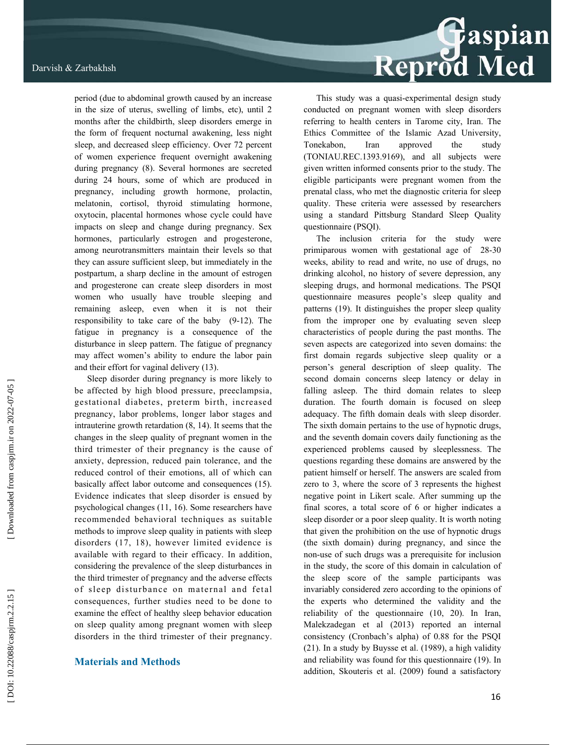period (due to abdominal growth caused by an increase in the size of uterus, swelling of limbs, etc), until 2 months after the childbirth, sleep disorders emerge in the form of frequent nocturnal awakening, less night sleep, and decreased sleep efficiency. Over 72 percent of women experience frequent overnight awakening during pregnancy (8). Several hormones are secreted during 24 hours, some of which are produced in pregnancy, including growth hormone, prolactin, melatonin, cortisol, thyroid stimulating hormone, oxytocin, placental hormones whose cycle could have impacts on sleep and change during pregnancy. Sex hormones, particularly estrogen and progesterone, among neurotransmitters maintain their levels so that they can assure sufficient sleep, but immediately in the postpartum, a sharp decline in the amount of estrogen and progesterone can create sleep disorders in most women who usually have trouble sleeping and remaining asleep, even when it is not their responsibility to take care of the baby (9-12). The fatigue in pregnancy is a consequence of the disturbance in sleep pattern. The fatigue of pregnancy may affect women's ability to endure the labor pain and their effort for vaginal delivery (13).

Sleep disorder during pregnancy is more likely to be affected by high blood pressure, preeclampsia, gestational diabetes, preterm birth, increased pregnancy, labor problems, longer labor stages and intrauterine growth retardation (8, 14). It seems that the changes in the sleep quality of pregnant women in the third trimester of their pregnancy is the cause of anxiety, depression, reduced pain tolerance, and the reduced control of their emotions, all of which can basically affect labor outcome and consequences (15). Evidence indicates that sleep disorder is ensued by psychological changes (11, 16). Some researchers have recommended behavioral techniques as suitable methods to improve sleep quality in patients with sleep disorders (17, 18), however limited evidence is available with regard to their efficacy. In addition, considering the prevalence of the sleep disturbances in the third trimester of pregnancy and the adverse effects of sleep disturbance on maternal and fetal consequences, further studies need to be done to examine the effect of healthy sleep behavior education on sleep quality among pregnant women with sleep disorders in the third trimester of their pregnancy.

### **Materials and Methods**

# Reprod Med

This study was a quasi-experimental design study conducted on pregnant women with sleep disorders referring to health centers in Tarome city, Iran. The Ethics Committee of the Islamic Azad University, Tonekabon, Iran approved the study (TONIAU.REC.1393.9169), and all subjects were given written informed consents prior to the study. The eligible participants were pregnant women from the prenatal class, who met the diagnostic criteria for sleep quality. These criteria were assessed by researchers using a standard Pittsburg Standard Sleep Quality questionnaire (PSQI).

The inclusion criteria for the study were primiparous women with gestational age of 28-30 weeks, ability to read and write, no use of drugs, no drinking alcohol, no history of severe depression, any sleeping drugs, and hormonal medications. The PSQI questionnaire measures people's sleep quality and patterns (19). It distinguishes the proper sleep quality from the improper one by evaluating seven sleep characteristics of people during the past months. The seven aspects are categorized into seven domains: the first domain regards subjective sleep quality or a person's general description of sleep quality. The second domain concerns sleep latency or delay in falling asleep. The third domain relates to sleep duration. The fourth domain is focused on sleep adequacy. The fifth domain deals with sleep disorder. The sixth domain pertains to the use of hypnotic drugs, and the seventh domain covers daily functioning as the experienced problems caused by sleeplessness. The questions regarding these domains are answered by the patient himself or herself. The answers are scaled from zero to 3, where the score of 3 represents the highest negative point in Likert scale. After summing up the final scores, a total score of 6 or higher indicates a sleep disorder or a poor sleep quality. It is worth noting that given the prohibition on the use of hypnotic drugs (the sixth domain) during pregnancy, and since the non-use of such drugs was a prerequisite for inclusion in the study, the score of this domain in calculation of the sleep score of the sample participants was invariably considered zero according to the opinions of the experts who determined the validity and the reliability of the questionnaire (10, 20). In Iran, Malekzadegan et al (2013) reported an internal consistency (Cronbach's alpha) of 0.88 for the PSQI (21). In a study by Buysse et al. (1989), a high validity and reliability was found for this questionnaire (19). In addition, Skouteris et al. (2009) found a satisfactory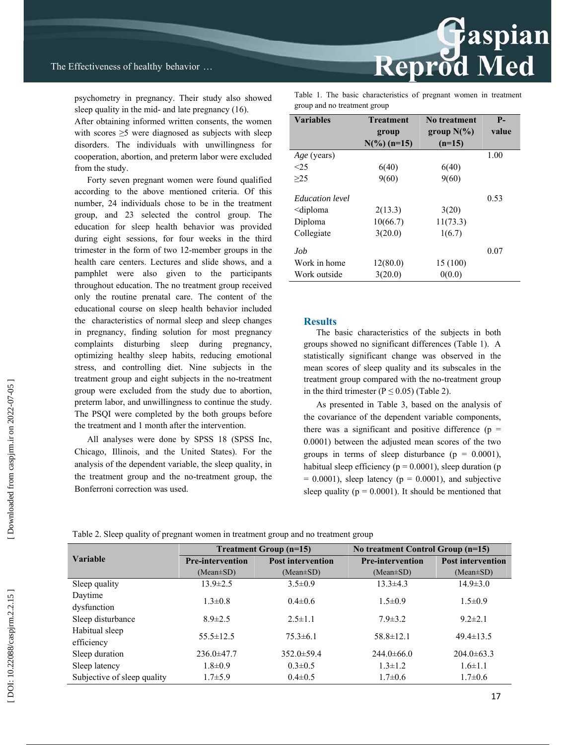psychometry in pregnancy. Their study also showed sleep quality in the mid- and late pregnancy (16).

After obtaining informed written consents, the women with scores  $\geq$ 5 were diagnosed as subjects with sleep disorders. The individuals with unwillingness for cooperation, abortion, and preterm labor were excluded from the study.

Forty seven pregnant women were found qualified according to the above mentioned criteria. Of this number, 24 individuals chose to be in the treatment group, and 23 selected the control group. The education for sleep health behavior was provided during eight sessions, for four weeks in the third trimester in the form of two 12-member groups in the health care centers. Lectures and slide shows, and a pamphlet were also given to the participants throughout education. The no treatment group received only the routine prenatal care. The content of the educational course on sleep health behavior included the characteristics of normal sleep and sleep changes in pregnancy, finding solution for most pregnancy complaints disturbing sleep during pregnancy, optimizing healthy sleep habits, reducing emotional stress, and controlling diet. Nine subjects in the treatment group and eight subjects in the no-treatment group were excluded from the study due to abortion, preterm labor, and unwillingness to continue the study. The PSQI were completed by the both groups before the treatment and 1 month after the intervention.

All analyses were done by SPSS 18 (SPSS Inc, Chicago, Illinois, and the United States). For the analysis of the dependent variable, the sleep quality, in the treatment group and the no-treatment group, the Bonferroni correction was used.

Table 1. The basic characteristics of pregnant women in treatment group and no treatment group

Reprod Med

| <b>Variables</b>                                                   | <b>Treatment</b>       | No treatment  | $P-$  |
|--------------------------------------------------------------------|------------------------|---------------|-------|
|                                                                    | group                  | group $N(\%)$ | value |
|                                                                    | $N\binom{0}{0}$ (n=15) | $(n=15)$      |       |
| Age (years)                                                        |                        |               | 1.00  |
| <25                                                                | 6(40)                  | 6(40)         |       |
| >25                                                                | 9(60)                  | 9(60)         |       |
|                                                                    |                        |               |       |
| <i>Education level</i>                                             |                        |               | 0.53  |
| <diploma< td=""><td>2(13.3)</td><td>3(20)</td><td></td></diploma<> | 2(13.3)                | 3(20)         |       |
| Diploma                                                            | 10(66.7)               | 11(73.3)      |       |
| Collegiate                                                         | 3(20.0)                | 1(6.7)        |       |
| .Job                                                               |                        |               | 0.07  |
| Work in home                                                       | 12(80.0)               | 15 (100)      |       |
| Work outside                                                       | 3(20.0)                | 0(0.0)        |       |

### **Results**

The basic characteristics of the subjects in both groups showed no significant differences (Table 1). A statistically significant change was observed in the mean scores of sleep quality and its subscales in the treatment group compared with the no-treatment group in the third trimester ( $P \le 0.05$ ) (Table 2).

As presented in Table 3, based on the analysis of the covariance of the dependent variable components, there was a significant and positive difference  $(p =$ 0.0001) between the adjusted mean scores of the two groups in terms of sleep disturbance  $(p = 0.0001)$ . habitual sleep efficiency ( $p = 0.0001$ ), sleep duration (p  $= 0.0001$ ), sleep latency ( $p = 0.0001$ ), and subjective sleep quality ( $p = 0.0001$ ). It should be mentioned that

Table 2. Sleep quality of pregnant women in treatment group and no treatment group

|                             | Treatment Group (n=15)                              |                  | No treatment Control Group (n=15) |                          |  |
|-----------------------------|-----------------------------------------------------|------------------|-----------------------------------|--------------------------|--|
| <b>Variable</b>             | <b>Post intervention</b><br><b>Pre-intervention</b> |                  | <b>Pre-intervention</b>           | <b>Post intervention</b> |  |
|                             | $(Mean \pm SD)$                                     | $(Mean \pm SD)$  | $(Mean \pm SD)$                   | $(Mean \pm SD)$          |  |
| Sleep quality               | $13.9 \pm 2.5$                                      | $3.5\pm0.9$      | $13.3 \pm 4.3$                    | $14.9 \pm 3.0$           |  |
| Daytime                     | $1.3 \pm 0.8$                                       | $0.4\pm 0.6$     | $1.5 \pm 0.9$                     | $1.5 \pm 0.9$            |  |
| dysfunction                 |                                                     |                  |                                   |                          |  |
| Sleep disturbance           | $8.9 \pm 2.5$                                       | $2.5 \pm 1.1$    | $7.9 \pm 3.2$                     | $9.2 \pm 2.1$            |  |
| Habitual sleep              | $55.5 \pm 12.5$                                     | $75.3\pm 6.1$    | $58.8 \pm 12.1$                   | $49.4 \pm 13.5$          |  |
| efficiency                  |                                                     |                  |                                   |                          |  |
| Sleep duration              | $236.0 \pm 47.7$                                    | $352.0 \pm 59.4$ | $244.0\pm 66.0$                   | $204.0\pm 63.3$          |  |
| Sleep latency               | $1.8 \pm 0.9$                                       | $0.3 \pm 0.5$    | $1.3 \pm 1.2$                     | $1.6 \pm 1.1$            |  |
| Subjective of sleep quality | $1.7 + 5.9$                                         | $0.4 \pm 0.5$    | $1.7 \pm 0.6$                     | $1.7 \pm 0.6$            |  |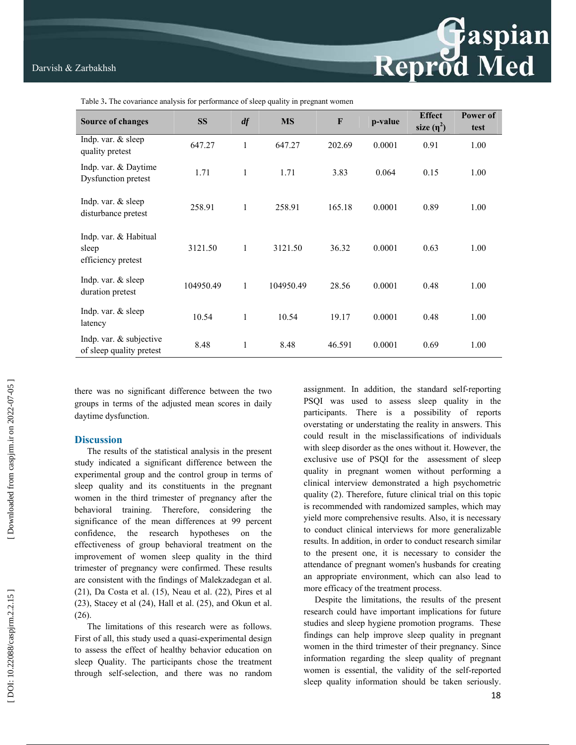Table 3**.** The covariance analysis for performance of sleep quality in pregnant women

| <b>Source of changes</b>                             | <b>SS</b> | df           | <b>MS</b> | F      | p-value | <b>Effect</b><br>size $(\eta^2)$ | Power of<br>test |
|------------------------------------------------------|-----------|--------------|-----------|--------|---------|----------------------------------|------------------|
| Indp. var. & sleep<br>quality pretest                | 647.27    | 1            | 647.27    | 202.69 | 0.0001  | 0.91                             | 1.00             |
| Indp. var. & Daytime<br>Dysfunction pretest          | 1.71      | 1            | 1.71      | 3.83   | 0.064   | 0.15                             | 1.00             |
| Indp. var. & sleep<br>disturbance pretest            | 258.91    | 1            | 258.91    | 165.18 | 0.0001  | 0.89                             | 1.00             |
| Indp. var. & Habitual<br>sleep<br>efficiency pretest | 3121.50   | $\mathbf{1}$ | 3121.50   | 36.32  | 0.0001  | 0.63                             | 1.00             |
| Indp. var. & sleep<br>duration pretest               | 104950.49 | $\mathbf{1}$ | 104950.49 | 28.56  | 0.0001  | 0.48                             | 1.00             |
| Indp. var. & sleep<br>latency                        | 10.54     | $\mathbf{1}$ | 10.54     | 19.17  | 0.0001  | 0.48                             | 1.00             |
| Indp. var. & subjective<br>of sleep quality pretest  | 8.48      | 1            | 8.48      | 46.591 | 0.0001  | 0.69                             | 1.00             |

there was no significant difference between the two groups in terms of the adjusted mean scores in daily daytime dysfunction.

### **Discussion**

The results of the statistical analysis in the present study indicated a significant difference between the experimental group and the control group in terms of sleep quality and its constituents in the pregnant women in the third trimester of pregnancy after the behavioral training. Therefore, considering the significance of the mean differences at 99 percent confidence, the research hypotheses on the effectiveness of group behavioral treatment on the improvement of women sleep quality in the third trimester of pregnancy were confirmed. These results are consistent with the findings of Malekzadegan et al. (21), Da Costa et al. (15), Neau et al. (22), Pires et al (23), Stacey et al (24), Hall et al. (25), and Okun et al. (26).

The limitations of this research were as follows. First of all, this study used a quasi-experimental design to assess the effect of healthy behavior education on sleep Quality. The participants chose the treatment through self-selection, and there was no random assignment. In addition, the standard self-reporting PSQI was used to assess sleep quality in the participants. There is a possibility of reports overstating or understating the reality in answers. This could result in the misclassifications of individuals with sleep disorder as the ones without it. However, the exclusive use of PSQI for the assessment of sleep quality in pregnant women without performing a clinical interview demonstrated a high psychometric quality (2). Therefore, future clinical trial on this topic is recommended with randomized samples, which may yield more comprehensive results. Also, it is necessary to conduct clinical interviews for more generalizable results. In addition, in order to conduct research similar to the present one, it is necessary to consider the attendance of pregnant women's husbands for creating an appropriate environment, which can also lead to more efficacy of the treatment process.

 Despite the limitations, the results of the present research could have important implications for future studies and sleep hygiene promotion programs. These findings can help improve sleep quality in pregnant women in the third trimester of their pregnancy. Since information regarding the sleep quality of pregnant women is essential, the validity of the self-reported sleep quality information should be taken seriously.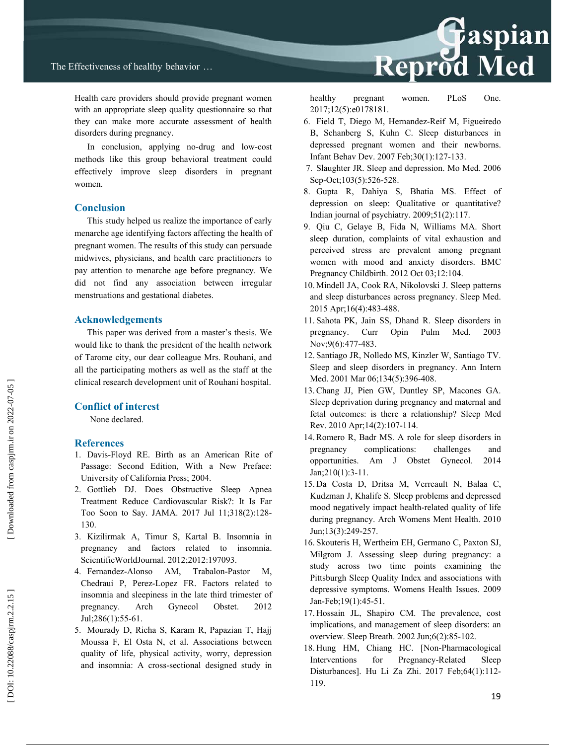Health care providers should provide pregnant women with an appropriate sleep quality questionnaire so that they can make more accurate assessment of health disorders during pregnancy.

In conclusion, applying no-drug and low-cost methods like this group behavioral treatment could effectively improve sleep disorders in pregnant women.

### **Conclusion**

This study helped us realize the importance of early menarche age identifying factors affecting the health of pregnant women. The results of this study can persuade midwives, physicians, and health care practitioners to pay attention to menarche age before pregnancy. We did not find any association between irregular menstruations and gestational diabetes.

### **Acknowledgements**

This paper was derived from a master's thesis. We would like to thank the president of the health network of Tarome city, our dear colleague Mrs. Rouhani, and all the participating mothers as well as the staff at the clinical research development unit of Rouhani hospital.

### **Conflict of interest**

None declared.

### **References**

- 1. Davis-Floyd RE. Birth as an American Rite of Passage: Second Edition, With a New Preface: University of California Press; 2004.
- 2. Gottlieb DJ. Does Obstructive Sleep Apnea Treatment Reduce Cardiovascular Risk?: It Is Far Too Soon to Say. JAMA. 2017 Jul 11;318(2):128- 130.
- 3. Kizilirmak A, Timur S, Kartal B. Insomnia in pregnancy and factors related to insomnia. ScientificWorldJournal. 2012;2012:197093.
- 4. Fernandez-Alonso AM, Trabalon-Pastor M, Chedraui P, Perez-Lopez FR. Factors related to insomnia and sleepiness in the late third trimester of pregnancy. Arch Gynecol Obstet. 2012 Jul;286(1):55-61.
- 5. Mourady D, Richa S, Karam R, Papazian T, Hajj Moussa F, El Osta N, et al. Associations between quality of life, physical activity, worry, depression and insomnia: A cross-sectional designed study in

## **Reprod Med**

healthy pregnant women. PLoS One. 2017;12(5):e0178181.

- 6. Field T, Diego M, Hernandez-Reif M, Figueiredo B, Schanberg S, Kuhn C. Sleep disturbances in depressed pregnant women and their newborns. Infant Behav Dev. 2007 Feb;30(1):127-133.
- 7. Slaughter JR. Sleep and depression. Mo Med. 2006 Sep-Oct;103(5):526-528.
- 8. Gupta R, Dahiya S, Bhatia MS. Effect of depression on sleep: Qualitative or quantitative? Indian journal of psychiatry. 2009;51(2):117.
- 9. Qiu C, Gelaye B, Fida N, Williams MA. Short sleep duration, complaints of vital exhaustion and perceived stress are prevalent among pregnant women with mood and anxiety disorders. BMC Pregnancy Childbirth. 2012 Oct 03;12:104.
- 10. Mindell JA, Cook RA, Nikolovski J. Sleep patterns and sleep disturbances across pregnancy. Sleep Med. 2015 Apr;16(4):483-488.
- 11. Sahota PK, Jain SS, Dhand R. Sleep disorders in pregnancy. Curr Opin Pulm Med. 2003 Nov;9(6):477-483.
- 12. Santiago JR, Nolledo MS, Kinzler W, Santiago TV. Sleep and sleep disorders in pregnancy. Ann Intern Med. 2001 Mar 06;134(5):396-408.
- 13. Chang JJ, Pien GW, Duntley SP, Macones GA. Sleep deprivation during pregnancy and maternal and fetal outcomes: is there a relationship? Sleep Med Rev. 2010 Apr;14(2):107-114.
- 14. Romero R, Badr MS. A role for sleep disorders in pregnancy complications: challenges and opportunities. Am J Obstet Gynecol. 2014 Jan;210(1):3-11.
- 15. Da Costa D, Dritsa M, Verreault N, Balaa C, Kudzman J, Khalife S. Sleep problems and depressed mood negatively impact health-related quality of life during pregnancy. Arch Womens Ment Health. 2010 Jun;13(3):249-257.
- 16. Skouteris H, Wertheim EH, Germano C, Paxton SJ, Milgrom J. Assessing sleep during pregnancy: a study across two time points examining the Pittsburgh Sleep Quality Index and associations with depressive symptoms. Womens Health Issues. 2009 Jan-Feb;19(1):45-51.
- 17. Hossain JL, Shapiro CM. The prevalence, cost implications, and management of sleep disorders: an overview. Sleep Breath. 2002 Jun;6(2):85-102.
- 18. Hung HM, Chiang HC. [Non-Pharmacological Interventions for Pregnancy-Related Sleep Disturbances]. Hu Li Za Zhi. 2017 Feb;64(1):112- 119.